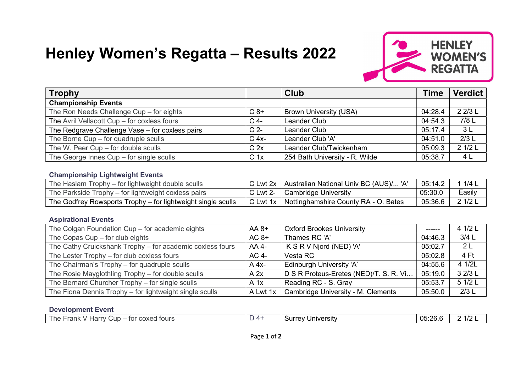# Henley Women's Regatta – Results 2022



| <b>Trophy</b>                                   |                 | <b>Club</b>                    | <b>Time</b> | <b>Verdict</b> |
|-------------------------------------------------|-----------------|--------------------------------|-------------|----------------|
| <b>Championship Events</b>                      |                 |                                |             |                |
| The Ron Needs Challenge Cup - for eights        | $C_8+$          | Brown University (USA)         | 04:28.4     | 2 2/3 L        |
| The Avril Vellacott Cup - for coxless fours     | $C$ 4-          | Leander Club                   | 04:54.3     | 7/8 L          |
| The Redgrave Challenge Vase - for coxless pairs | C <sub>2</sub>  | Leander Club                   | 05:17.4     | 3L             |
| The Borne Cup - for quadruple sculls            | C 4x-           | Leander Club 'A'               | 04:51.0     | 2/3L           |
| The W. Peer Cup - for double sculls             | C <sub>2x</sub> | Leander Club/Twickenham        | 05:09.3     | 2 1/2 L        |
| The George Innes $Cup$ – for single sculls      | C <sub>1x</sub> | 254 Bath University - R. Wilde | 05:38.7     | 4 L            |

#### Championship Lightweight Events

| The Haslam Trophy – for lightweight double sculls            | C Lwt 2x $\perp$ | <sup>1</sup> Australian National Univ BC (AUS) 'A | 05:14.2 | 1/4    |
|--------------------------------------------------------------|------------------|---------------------------------------------------|---------|--------|
| The Parkside Trophy – for lightweight coxless pairs          | C Lwt 2-         | Cambridge University                              | 05:30.0 | Easily |
| The Godfrey Rowsports Trophy – for lightweight single sculls | C Lwt 1x         | Nottinghamshire County RA - O. Bates              | 05:36.6 | 21/2L  |

#### Aspirational Events

| The Colgan Foundation Cup - for academic eights           | $AA 8+$  | <b>Oxford Brookes University</b>       | $\frac{1}{2}$ | 4 1/2 L        |
|-----------------------------------------------------------|----------|----------------------------------------|---------------|----------------|
| The Copas $Cup$ – for club eights                         | $AC 8+$  | Thames RC 'A'                          | 04:46.3       | $3/4$ L        |
| The Cathy Cruickshank Trophy - for academic coxless fours | AA 4-    | K S R V Njord (NED) 'A'                | 05:02.7       | 2 <sub>L</sub> |
| The Lester Trophy - for club coxless fours                | AC 4-    | Vesta RC                               | 05:02.8       | 4 Ft           |
| The Chairman's Trophy - for quadruple sculls              | $A$ 4x-  | Edinburgh University 'A'               | 04:55.6       | 4 1/2L         |
| The Rosie Mayglothling Trophy – for double sculls         | A 2x     | D S R Proteus-Eretes (NED)/T. S. R. Vi | 05:19.0       | 3 2/3 L        |
| The Bernard Churcher Trophy - for single sculls           | $A$ 1x   | Reading RC - S. Gray                   | 05:53.7       | 5 1/2 L        |
| The Fiona Dennis Trophy - for lightweight single sculls   | A Lwt 1x | Cambridge University - M. Clements     | 05:50.0       | 2/3L           |

## Development Event